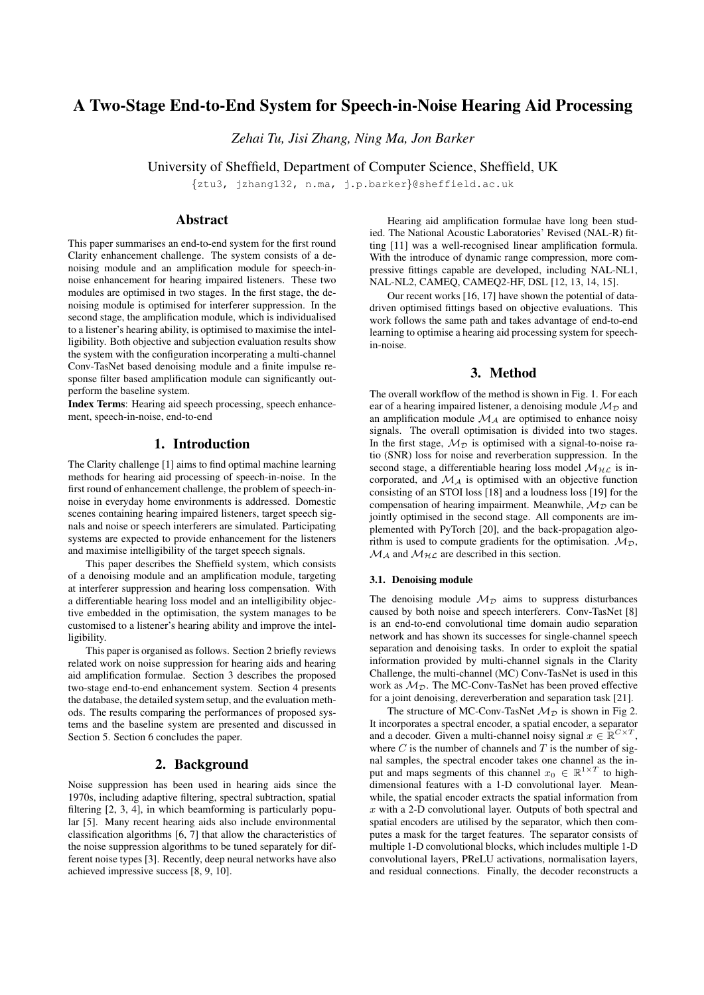# A Two-Stage End-to-End System for Speech-in-Noise Hearing Aid Processing

*Zehai Tu, Jisi Zhang, Ning Ma, Jon Barker*

University of Sheffield, Department of Computer Science, Sheffield, UK

{ztu3, jzhang132, n.ma, j.p.barker}@sheffield.ac.uk

## Abstract

This paper summarises an end-to-end system for the first round Clarity enhancement challenge. The system consists of a denoising module and an amplification module for speech-innoise enhancement for hearing impaired listeners. These two modules are optimised in two stages. In the first stage, the denoising module is optimised for interferer suppression. In the second stage, the amplification module, which is individualised to a listener's hearing ability, is optimised to maximise the intelligibility. Both objective and subjection evaluation results show the system with the configuration incorperating a multi-channel Conv-TasNet based denoising module and a finite impulse response filter based amplification module can significantly outperform the baseline system.

Index Terms: Hearing aid speech processing, speech enhancement, speech-in-noise, end-to-end

## 1. Introduction

The Clarity challenge [1] aims to find optimal machine learning methods for hearing aid processing of speech-in-noise. In the first round of enhancement challenge, the problem of speech-innoise in everyday home environments is addressed. Domestic scenes containing hearing impaired listeners, target speech signals and noise or speech interferers are simulated. Participating systems are expected to provide enhancement for the listeners and maximise intelligibility of the target speech signals.

This paper describes the Sheffield system, which consists of a denoising module and an amplification module, targeting at interferer suppression and hearing loss compensation. With a differentiable hearing loss model and an intelligibility objective embedded in the optimisation, the system manages to be customised to a listener's hearing ability and improve the intelligibility.

This paper is organised as follows. Section 2 briefly reviews related work on noise suppression for hearing aids and hearing aid amplification formulae. Section 3 describes the proposed two-stage end-to-end enhancement system. Section 4 presents the database, the detailed system setup, and the evaluation methods. The results comparing the performances of proposed systems and the baseline system are presented and discussed in Section 5. Section 6 concludes the paper.

## 2. Background

Noise suppression has been used in hearing aids since the 1970s, including adaptive filtering, spectral subtraction, spatial filtering [2, 3, 4], in which beamforming is particularly popular [5]. Many recent hearing aids also include environmental classification algorithms [6, 7] that allow the characteristics of the noise suppression algorithms to be tuned separately for different noise types [3]. Recently, deep neural networks have also achieved impressive success [8, 9, 10].

Hearing aid amplification formulae have long been studied. The National Acoustic Laboratories' Revised (NAL-R) fitting [11] was a well-recognised linear amplification formula. With the introduce of dynamic range compression, more compressive fittings capable are developed, including NAL-NL1, NAL-NL2, CAMEQ, CAMEQ2-HF, DSL [12, 13, 14, 15].

Our recent works [16, 17] have shown the potential of datadriven optimised fittings based on objective evaluations. This work follows the same path and takes advantage of end-to-end learning to optimise a hearing aid processing system for speechin-noise.

## 3. Method

The overall workflow of the method is shown in Fig. 1. For each ear of a hearing impaired listener, a denoising module  $\mathcal{M}_{\mathcal{D}}$  and an amplification module  $\mathcal{M}_{\mathcal{A}}$  are optimised to enhance noisy signals. The overall optimisation is divided into two stages. In the first stage,  $M_{\mathcal{D}}$  is optimised with a signal-to-noise ratio (SNR) loss for noise and reverberation suppression. In the second stage, a differentiable hearing loss model  $\mathcal{M}_{H,C}$  is incorporated, and  $\mathcal{M}_{\mathcal{A}}$  is optimised with an objective function consisting of an STOI loss [18] and a loudness loss [19] for the compensation of hearing impairment. Meanwhile,  $M_{\mathcal{D}}$  can be jointly optimised in the second stage. All components are implemented with PyTorch [20], and the back-propagation algorithm is used to compute gradients for the optimisation.  $M_{\mathcal{D}}$ ,  $M_A$  and  $M_{H\text{L}}$  are described in this section.

#### 3.1. Denoising module

The denoising module  $\mathcal{M}_{\mathcal{D}}$  aims to suppress disturbances caused by both noise and speech interferers. Conv-TasNet [8] is an end-to-end convolutional time domain audio separation network and has shown its successes for single-channel speech separation and denoising tasks. In order to exploit the spatial information provided by multi-channel signals in the Clarity Challenge, the multi-channel (MC) Conv-TasNet is used in this work as  $\mathcal{M}_{\mathcal{D}}$ . The MC-Conv-TasNet has been proved effective for a joint denoising, dereverberation and separation task [21].

The structure of MC-Conv-TasNet  $M_{\mathcal{D}}$  is shown in Fig 2. It incorporates a spectral encoder, a spatial encoder, a separator and a decoder. Given a multi-channel noisy signal  $x \in \mathbb{R}^{C \times T}$ , where  $C$  is the number of channels and  $T$  is the number of signal samples, the spectral encoder takes one channel as the input and maps segments of this channel  $x_0 \in \mathbb{R}^{1 \times T}$  to highdimensional features with a 1-D convolutional layer. Meanwhile, the spatial encoder extracts the spatial information from  $x$  with a 2-D convolutional layer. Outputs of both spectral and spatial encoders are utilised by the separator, which then computes a mask for the target features. The separator consists of multiple 1-D convolutional blocks, which includes multiple 1-D convolutional layers, PReLU activations, normalisation layers, and residual connections. Finally, the decoder reconstructs a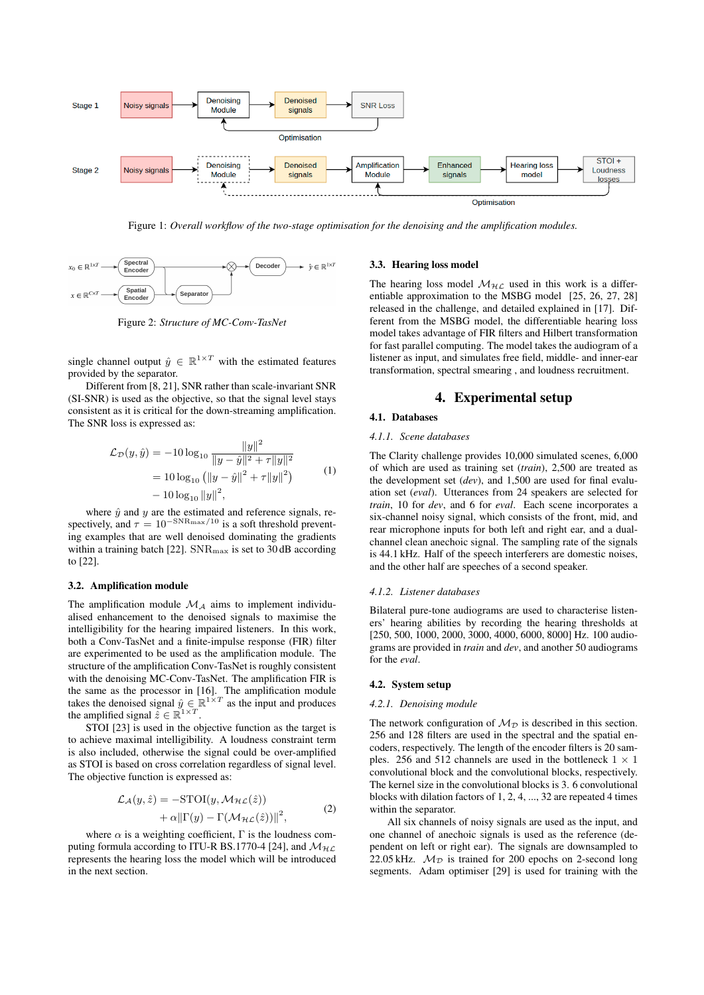

Figure 1: *Overall workflow of the two-stage optimisation for the denoising and the amplification modules.*



Figure 2: *Structure of MC-Conv-TasNet*

single channel output  $\hat{y} \in \mathbb{R}^{1 \times T}$  with the estimated features provided by the separator.

Different from [8, 21], SNR rather than scale-invariant SNR (SI-SNR) is used as the objective, so that the signal level stays consistent as it is critical for the down-streaming amplification. The SNR loss is expressed as:

$$
\mathcal{L}_{\mathcal{D}}(y, \hat{y}) = -10 \log_{10} \frac{\|y\|^2}{\|y - \hat{y}\|^2 + \tau \|y\|^2}
$$
  
=  $10 \log_{10} (\|y - \hat{y}\|^2 + \tau \|y\|^2)$   
 $- 10 \log_{10} \|y\|^2,$  (1)

where  $\hat{y}$  and  $y$  are the estimated and reference signals, respectively, and  $\tau = 10^{-\text{SNR}_{\text{max}}/10}$  is a soft threshold preventing examples that are well denoised dominating the gradients within a training batch [22].  $SNR_{max}$  is set to 30 dB according to [22].

#### 3.2. Amplification module

The amplification module  $\mathcal{M}_{\mathcal{A}}$  aims to implement individualised enhancement to the denoised signals to maximise the intelligibility for the hearing impaired listeners. In this work, both a Conv-TasNet and a finite-impulse response (FIR) filter are experimented to be used as the amplification module. The structure of the amplification Conv-TasNet is roughly consistent with the denoising MC-Conv-TasNet. The amplification FIR is the same as the processor in [16]. The amplification module takes the denoised signal  $\hat{y} \in \mathbb{R}^{1 \times T}$  as the input and produces the amplified signal  $\tilde{z} \in \mathbb{R}^{1 \times T}$ .

STOI [23] is used in the objective function as the target is to achieve maximal intelligibility. A loudness constraint term is also included, otherwise the signal could be over-amplified as STOI is based on cross correlation regardless of signal level. The objective function is expressed as:

$$
\mathcal{L}_{\mathcal{A}}(y,\hat{z}) = -\text{STOI}(y,\mathcal{M}_{\mathcal{HL}}(\hat{z})) \n+ \alpha \|\Gamma(y) - \Gamma(\mathcal{M}_{\mathcal{HL}}(\hat{z}))\|^2,
$$
\n(2)

where  $\alpha$  is a weighting coefficient,  $\Gamma$  is the loudness computing formula according to ITU-R BS.1770-4 [24], and  $\mathcal{M}_{\mathcal{HL}}$ represents the hearing loss the model which will be introduced in the next section.

#### 3.3. Hearing loss model

The hearing loss model  $\mathcal{M}_{\mathcal{HL}}$  used in this work is a differentiable approximation to the MSBG model [25, 26, 27, 28] released in the challenge, and detailed explained in [17]. Different from the MSBG model, the differentiable hearing loss model takes advantage of FIR filters and Hilbert transformation for fast parallel computing. The model takes the audiogram of a listener as input, and simulates free field, middle- and inner-ear transformation, spectral smearing , and loudness recruitment.

## 4. Experimental setup

## 4.1. Databases

#### *4.1.1. Scene databases*

The Clarity challenge provides 10,000 simulated scenes, 6,000 of which are used as training set (*train*), 2,500 are treated as the development set (*dev*), and 1,500 are used for final evaluation set (*eval*). Utterances from 24 speakers are selected for *train*, 10 for *dev*, and 6 for *eval*. Each scene incorporates a six-channel noisy signal, which consists of the front, mid, and rear microphone inputs for both left and right ear, and a dualchannel clean anechoic signal. The sampling rate of the signals is 44.1 kHz. Half of the speech interferers are domestic noises, and the other half are speeches of a second speaker.

#### *4.1.2. Listener databases*

Bilateral pure-tone audiograms are used to characterise listeners' hearing abilities by recording the hearing thresholds at [250, 500, 1000, 2000, 3000, 4000, 6000, 8000] Hz. 100 audiograms are provided in *train* and *dev*, and another 50 audiograms for the *eval*.

#### 4.2. System setup

#### *4.2.1. Denoising module*

The network configuration of  $\mathcal{M}_{\mathcal{D}}$  is described in this section. 256 and 128 filters are used in the spectral and the spatial encoders, respectively. The length of the encoder filters is 20 samples. 256 and 512 channels are used in the bottleneck  $1 \times 1$ convolutional block and the convolutional blocks, respectively. The kernel size in the convolutional blocks is 3. 6 convolutional blocks with dilation factors of 1, 2, 4, ..., 32 are repeated 4 times within the separator.

All six channels of noisy signals are used as the input, and one channel of anechoic signals is used as the reference (dependent on left or right ear). The signals are downsampled to 22.05 kHz.  $M_{\mathcal{D}}$  is trained for 200 epochs on 2-second long segments. Adam optimiser [29] is used for training with the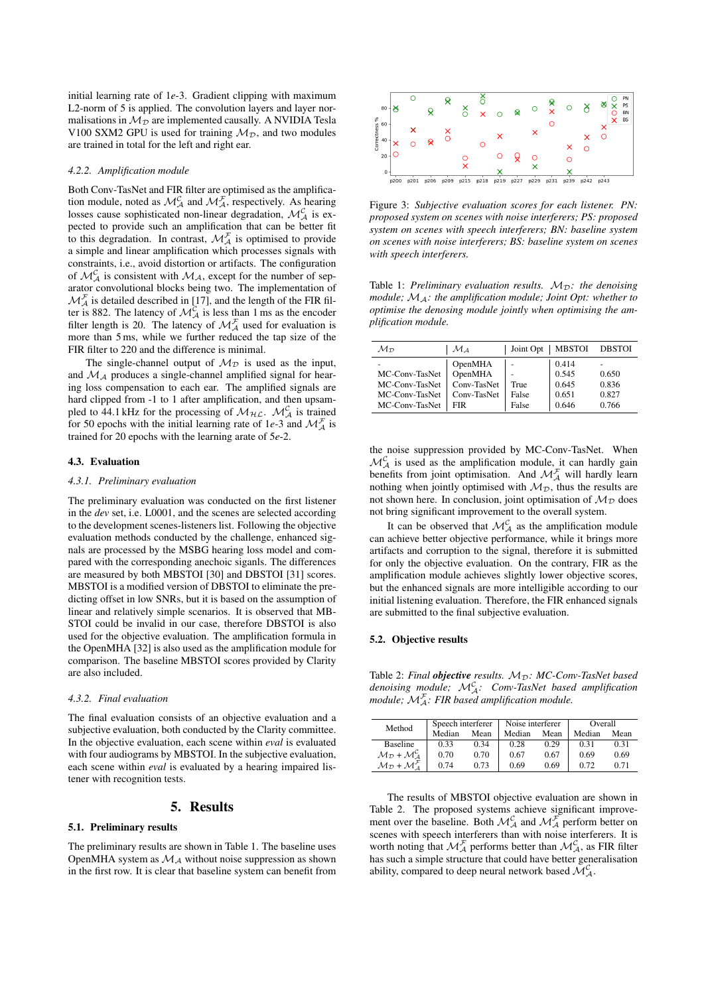initial learning rate of 1*e*-3. Gradient clipping with maximum L2-norm of 5 is applied. The convolution layers and layer normalisations in  $M_{\mathcal{D}}$  are implemented causally. A NVIDIA Tesla V100 SXM2 GPU is used for training  $\mathcal{M}_{\mathcal{D}}$ , and two modules are trained in total for the left and right ear.

#### *4.2.2. Amplification module*

Both Conv-TasNet and FIR filter are optimised as the amplification module, noted as  $\mathcal{M}_{\mathcal{A}}^{\mathcal{C}}$  and  $\mathcal{M}_{\mathcal{A}}^{\mathcal{F}}$ , respectively. As hearing losses cause sophisticated non-linear degradation,  $\mathcal{M}_{\mathcal{A}}^{\mathcal{C}}$  is expected to provide such an amplification that can be better fit to this degradation. In contrast,  $\mathcal{M}_{\mathcal{A}}^{\mathcal{F}}$  is optimised to provide a simple and linear amplification which processes signals with constraints, i.e., avoid distortion or artifacts. The configuration of  $\mathcal{M}_{\mathcal{A}}^{\mathcal{C}}$  is consistent with  $\mathcal{M}_{\mathcal{A}}$ , except for the number of separator convolutional blocks being two. The implementation of  $\mathcal{M}_{\mathcal{A}}^{\mathcal{F}}$  is detailed described in [17], and the length of the FIR filter is 882. The latency of  $\mathcal{M}_{\mathcal{A}}^{\mathcal{C}}$  is less than 1 ms as the encoder filter length is 20. The latency of  $\mathcal{M}_{\mathcal{A}}^{\mathcal{F}}$  used for evaluation is more than 5 ms, while we further reduced the tap size of the FIR filter to 220 and the difference is minimal.

The single-channel output of  $\mathcal{M}_{\mathcal{D}}$  is used as the input, and  $\mathcal{M}_{\mathcal{A}}$  produces a single-channel amplified signal for hearing loss compensation to each ear. The amplified signals are hard clipped from -1 to 1 after amplification, and then upsampled to 44.1 kHz for the processing of  $\mathcal{M}_{\mathcal{HL}}$ .  $\mathcal{M}_{\mathcal{A}}^{\mathcal{C}}$  is trained for 50 epochs with the initial learning rate of 1e-3 and  $\mathcal{M}_{\mathcal{A}}^{\mathcal{F}}$  is trained for 20 epochs with the learning arate of 5*e*-2.

#### 4.3. Evaluation

#### *4.3.1. Preliminary evaluation*

The preliminary evaluation was conducted on the first listener in the *dev* set, i.e. L0001, and the scenes are selected according to the development scenes-listeners list. Following the objective evaluation methods conducted by the challenge, enhanced signals are processed by the MSBG hearing loss model and compared with the corresponding anechoic siganls. The differences are measured by both MBSTOI [30] and DBSTOI [31] scores. MBSTOI is a modified version of DBSTOI to eliminate the predicting offset in low SNRs, but it is based on the assumption of linear and relatively simple scenarios. It is observed that MB-STOI could be invalid in our case, therefore DBSTOI is also used for the objective evaluation. The amplification formula in the OpenMHA [32] is also used as the amplification module for comparison. The baseline MBSTOI scores provided by Clarity are also included.

## *4.3.2. Final evaluation*

The final evaluation consists of an objective evaluation and a subjective evaluation, both conducted by the Clarity committee. In the objective evaluation, each scene within *eval* is evaluated with four audiograms by MBSTOI. In the subjective evaluation, each scene within *eval* is evaluated by a hearing impaired listener with recognition tests.

## 5. Results

### 5.1. Preliminary results

The preliminary results are shown in Table 1. The baseline uses OpenMHA system as  $\mathcal{M}_\mathcal{A}$  without noise suppression as shown in the first row. It is clear that baseline system can benefit from



Figure 3: *Subjective evaluation scores for each listener. PN: proposed system on scenes with noise interferers; PS: proposed system on scenes with speech interferers; BN: baseline system on scenes with noise interferers; BS: baseline system on scenes with speech interferers.*

Table 1: *Preliminary evaluation results.*  $M_{\mathcal{D}}$ : *the denoising module;* MA*: the amplification module; Joint Opt: whether to optimise the denosing module jointly when optimising the amplification module.*

| $\mathcal{M}_{\mathcal{D}}$ | $\mathcal{M}_A$ | Joint Opt | <b>MBSTOI</b> | <b>DBSTOI</b> |
|-----------------------------|-----------------|-----------|---------------|---------------|
| -                           | OpenMHA         |           | 0.414         |               |
| MC-Conv-TasNet              | OpenMHA         |           | 0.545         | 0.650         |
| MC-Conv-TasNet              | Conv-TasNet     | True      | 0.645         | 0.836         |
| MC-Conv-TasNet              | Conv-TasNet     | False     | 0.651         | 0.827         |
| MC-Conv-TasNet              | FIR             | False     | 0.646         | 0.766         |

the noise suppression provided by MC-Conv-TasNet. When  $\mathcal{M}_{\mathcal{A}}^{\mathcal{C}}$  is used as the amplification module, it can hardly gain benefits from joint optimisation. And  $\mathcal{M}_{\mathcal{A}}^{\mathcal{F}}$  will hardly learn nothing when jointly optimised with  $\mathcal{M}_{\mathcal{D}}$ , thus the results are not shown here. In conclusion, joint optimisation of  $M_{\mathcal{D}}$  does not bring significant improvement to the overall system.

It can be observed that  $\mathcal{M}_{\mathcal{A}}^{\mathcal{C}}$  as the amplification module can achieve better objective performance, while it brings more artifacts and corruption to the signal, therefore it is submitted for only the objective evaluation. On the contrary, FIR as the amplification module achieves slightly lower objective scores, but the enhanced signals are more intelligible according to our initial listening evaluation. Therefore, the FIR enhanced signals are submitted to the final subjective evaluation.

### 5.2. Objective results

Table 2: *Final objective results.*  $M_{\mathcal{D}}$ : *MC-Conv-TasNet based denoising module;* M<sup>C</sup> <sup>A</sup>*: Conv-TasNet based amplification module;* M<sup>F</sup> <sup>A</sup>*: FIR based amplification module.*

| Method                                                                | Speech interferer |      | Noise interferer |      | Overall |      |
|-----------------------------------------------------------------------|-------------------|------|------------------|------|---------|------|
|                                                                       | Median            | Mean | Median           | Mean | Median  | Mean |
| <b>Baseline</b>                                                       | 0.33              | 0.34 | 0.28             | 0.29 | 0.31    | 0.31 |
| $\mathcal{M}_{\mathcal{D}} + \mathcal{M}_{\mathcal{A}}^{\mathcal{C}}$ | 0.70              | 0.70 | 0.67             | 0.67 | 0.69    | 0.69 |
| $\mathcal{M}_{\mathcal{D}} + \mathcal{M}_{\mathcal{A}}^{\mathcal{F}}$ | 0.74              | 0.73 | 0.69             | 0.69 | 0.72    | 0.71 |

The results of MBSTOI objective evaluation are shown in Table 2. The proposed systems achieve significant improvement over the baseline. Both  $\mathcal{M}_{\mathcal{A}}^{\mathcal{C}}$  and  $\mathcal{M}_{\mathcal{A}}^{\mathcal{F}}$  perform better on scenes with speech interferers than with noise interferers. It is worth noting that  $\mathcal{M}_{\mathcal{A}}^{\mathcal{F}}$  performs better than  $\mathcal{M}_{\mathcal{A}}^{\mathcal{C}}$ , as FIR filter has such a simple structure that could have better generalisation ability, compared to deep neural network based  $\mathcal{M}_{\mathcal{A}}^{\mathcal{C}}$ .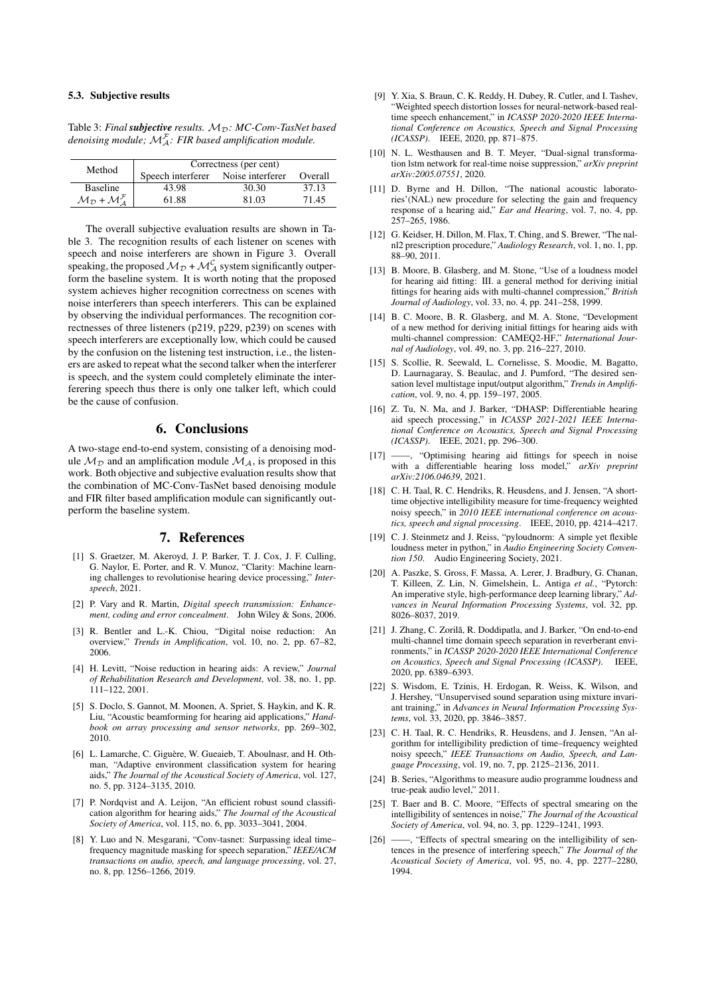### 5.3. Subjective results

|        | denoising module; $\mathcal{M}_{A}^{\mathcal{F}}$ : FIR based amplification module. |  |         |  |
|--------|-------------------------------------------------------------------------------------|--|---------|--|
| Method | Correctness (per cent)                                                              |  |         |  |
|        | Speech interferer Noise interferer                                                  |  | Overall |  |

Table 3: *Final subjective results.*  $M_{\mathcal{D}}$ *:*  $MC$ *-Conv-TasNet based* 

| Method                                                                | Correctness (per cent) |                  |         |  |
|-----------------------------------------------------------------------|------------------------|------------------|---------|--|
|                                                                       | Speech interferer      | Noise interferer | Overall |  |
| <b>Baseline</b>                                                       | 43.98                  | 30.30            | 37.13   |  |
| $\mathcal{M}_{\mathcal{D}} + \mathcal{M}_{\mathcal{A}}^{\mathcal{F}}$ | 61.88                  | 81.03            | 71.45   |  |

The overall subjective evaluation results are shown in Table 3. The recognition results of each listener on scenes with speech and noise interferers are shown in Figure 3. Overall speaking, the proposed  $\mathcal{M}_{\mathcal{D}} + \mathcal{M}_{\mathcal{A}}^{\mathcal{C}}$  system significantly outperform the baseline system. It is worth noting that the proposed system achieves higher recognition correctness on scenes with noise interferers than speech interferers. This can be explained by observing the individual performances. The recognition correctnesses of three listeners (p219, p229, p239) on scenes with speech interferers are exceptionally low, which could be caused by the confusion on the listening test instruction, i.e., the listeners are asked to repeat what the second talker when the interferer is speech, and the system could completely eliminate the interferering speech thus there is only one talker left, which could be the cause of confusion.

## 6. Conclusions

A two-stage end-to-end system, consisting of a denoising module  $\mathcal{M}_{\mathcal{D}}$  and an amplification module  $\mathcal{M}_{\mathcal{A}}$ , is proposed in this work. Both objective and subjective evaluation results show that the combination of MC-Conv-TasNet based denoising module and FIR filter based amplification module can significantly outperform the baseline system.

### 7. References

- [1] S. Graetzer, M. Akeroyd, J. P. Barker, T. J. Cox, J. F. Culling, G. Naylor, E. Porter, and R. V. Munoz, "Clarity: Machine learning challenges to revolutionise hearing device processing," *Interspeech*, 2021.
- [2] P. Vary and R. Martin, *Digital speech transmission: Enhancement, coding and error concealment*. John Wiley & Sons, 2006.
- [3] R. Bentler and L.-K. Chiou, "Digital noise reduction: An overview," *Trends in Amplification*, vol. 10, no. 2, pp. 67–82, 2006.
- [4] H. Levitt, "Noise reduction in hearing aids: A review," *Journal of Rehabilitation Research and Development*, vol. 38, no. 1, pp. 111–122, 2001.
- [5] S. Doclo, S. Gannot, M. Moonen, A. Spriet, S. Haykin, and K. R. Liu, "Acoustic beamforming for hearing aid applications," *Handbook on array processing and sensor networks*, pp. 269–302, 2010.
- [6] L. Lamarche, C. Giguère, W. Gueaieb, T. Aboulnasr, and H. Othman, "Adaptive environment classification system for hearing aids," *The Journal of the Acoustical Society of America*, vol. 127, no. 5, pp. 3124–3135, 2010.
- [7] P. Nordqvist and A. Leijon, "An efficient robust sound classification algorithm for hearing aids," *The Journal of the Acoustical Society of America*, vol. 115, no. 6, pp. 3033–3041, 2004.
- [8] Y. Luo and N. Mesgarani, "Conv-tasnet: Surpassing ideal time– frequency magnitude masking for speech separation," *IEEE/ACM transactions on audio, speech, and language processing*, vol. 27, no. 8, pp. 1256–1266, 2019.
- [9] Y. Xia, S. Braun, C. K. Reddy, H. Dubey, R. Cutler, and I. Tashev, "Weighted speech distortion losses for neural-network-based realtime speech enhancement," in *ICASSP 2020-2020 IEEE International Conference on Acoustics, Speech and Signal Processing (ICASSP)*. IEEE, 2020, pp. 871–875.
- [10] N. L. Westhausen and B. T. Meyer, "Dual-signal transformation lstm network for real-time noise suppression," *arXiv preprint arXiv:2005.07551*, 2020.
- [11] D. Byrne and H. Dillon, "The national acoustic laboratories'(NAL) new procedure for selecting the gain and frequency response of a hearing aid," *Ear and Hearing*, vol. 7, no. 4, pp. 257–265, 1986.
- [12] G. Keidser, H. Dillon, M. Flax, T. Ching, and S. Brewer, "The nalnl2 prescription procedure," *Audiology Research*, vol. 1, no. 1, pp. 88–90, 2011.
- [13] B. Moore, B. Glasberg, and M. Stone, "Use of a loudness model for hearing aid fitting: III. a general method for deriving initial fittings for hearing aids with multi-channel compression," *British Journal of Audiology*, vol. 33, no. 4, pp. 241–258, 1999.
- [14] B. C. Moore, B. R. Glasberg, and M. A. Stone, "Development of a new method for deriving initial fittings for hearing aids with multi-channel compression: CAMEQ2-HF," *International Journal of Audiology*, vol. 49, no. 3, pp. 216–227, 2010.
- [15] S. Scollie, R. Seewald, L. Cornelisse, S. Moodie, M. Bagatto, D. Laurnagaray, S. Beaulac, and J. Pumford, "The desired sensation level multistage input/output algorithm," *Trends in Amplification*, vol. 9, no. 4, pp. 159–197, 2005.
- [16] Z. Tu, N. Ma, and J. Barker, "DHASP: Differentiable hearing aid speech processing," in *ICASSP 2021-2021 IEEE International Conference on Acoustics, Speech and Signal Processing (ICASSP)*. IEEE, 2021, pp. 296–300.
- [17] ——, "Optimising hearing aid fittings for speech in noise with a differentiable hearing loss model," *arXiv preprint arXiv:2106.04639*, 2021.
- [18] C. H. Taal, R. C. Hendriks, R. Heusdens, and J. Jensen, "A shorttime objective intelligibility measure for time-frequency weighted noisy speech," in *2010 IEEE international conference on acoustics, speech and signal processing*. IEEE, 2010, pp. 4214–4217.
- [19] C. J. Steinmetz and J. Reiss, "pyloudnorm: A simple yet flexible loudness meter in python," in *Audio Engineering Society Convention 150*. Audio Engineering Society, 2021.
- [20] A. Paszke, S. Gross, F. Massa, A. Lerer, J. Bradbury, G. Chanan, T. Killeen, Z. Lin, N. Gimelshein, L. Antiga *et al.*, "Pytorch: An imperative style, high-performance deep learning library," *Advances in Neural Information Processing Systems*, vol. 32, pp. 8026–8037, 2019.
- [21] J. Zhang, C. Zorilă, R. Doddipatla, and J. Barker, "On end-to-end multi-channel time domain speech separation in reverberant environments," in *ICASSP 2020-2020 IEEE International Conference on Acoustics, Speech and Signal Processing (ICASSP)*. IEEE, 2020, pp. 6389–6393.
- [22] S. Wisdom, E. Tzinis, H. Erdogan, R. Weiss, K. Wilson, and J. Hershey, "Unsupervised sound separation using mixture invariant training," in *Advances in Neural Information Processing Systems*, vol. 33, 2020, pp. 3846–3857.
- [23] C. H. Taal, R. C. Hendriks, R. Heusdens, and J. Jensen, "An algorithm for intelligibility prediction of time–frequency weighted noisy speech," *IEEE Transactions on Audio, Speech, and Language Processing*, vol. 19, no. 7, pp. 2125–2136, 2011.
- [24] B. Series, "Algorithms to measure audio programme loudness and true-peak audio level," 2011.
- [25] T. Baer and B. C. Moore, "Effects of spectral smearing on the intelligibility of sentences in noise," *The Journal of the Acoustical Society of America*, vol. 94, no. 3, pp. 1229–1241, 1993.
- [26] ——, "Effects of spectral smearing on the intelligibility of sentences in the presence of interfering speech," *The Journal of the Acoustical Society of America*, vol. 95, no. 4, pp. 2277–2280, 1994.